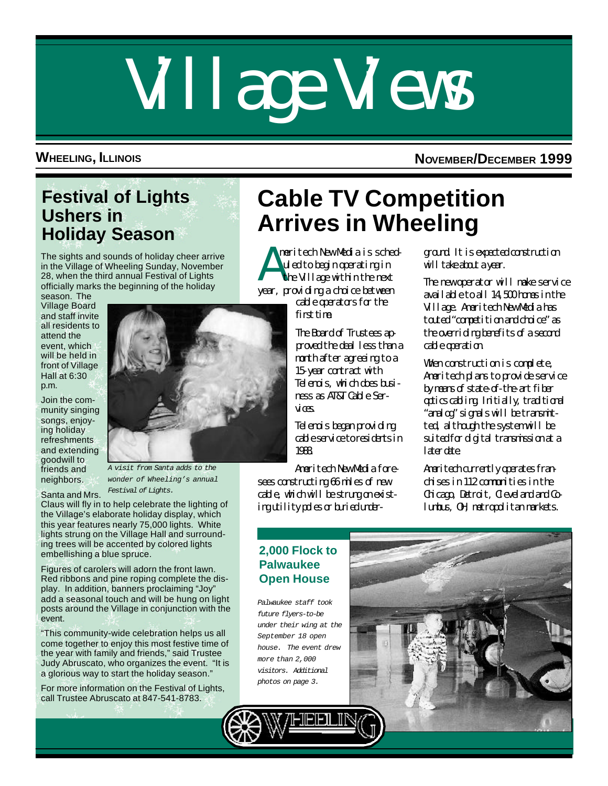# Village Views

**WHEELING, ILLINOIS NOVEMBER/DECEMBER 1999**

## **Festival of Lights Ushers in Holiday Season**

The sights and sounds of holiday cheer arrive in the Village of Wheeling Sunday, November 28, when the third annual Festival of Lights officially marks the beginning of the holiday

season. The Village Board and staff invite all residents to attend the event, which will be held in front of Village Hall at 6:30 p.m.

Join the community singing songs, enjoying holiday refreshments and extending goodwill to friends and neighbors.

Santa and Mrs.

*A visit from Santa adds to the wonder of Wheeling's annual Festival of Lights.*

Claus will fly in to help celebrate the lighting of the Village's elaborate holiday display, which this year features nearly 75,000 lights. White lights strung on the Village Hall and surrounding trees will be accented by colored lights embellishing a blue spruce.

Figures of carolers will adorn the front lawn. Red ribbons and pine roping complete the display. In addition, banners proclaiming "Joy" add a seasonal touch and will be hung on light posts around the Village in conjunction with the event.

"This community-wide celebration helps us all come together to enjoy this most festive time of the year with family and friends," said Trustee Judy Abruscato, who organizes the event. "It is a glorious way to start the holiday season."

For more information on the Festival of Lights, call Trustee Abruscato at 847-541-8783.

# **Cable TV Competition Arrives in Wheeling**

A meritech New Media is scheduled to begin operating in the Village within the next year, providing a choice between

cable operators for the first time.

The Board of Trustees approved the deal less than a month after agreeing to a 15-year contract with Telenois, which does business as AT&T Cable Services.

Telenois began providing cable service to residents in 1988.

Ameritech New Media foresees constructing 66 miles of new cable, which will be strung on existing utility poles or buried underground. It is expected construction will take about a year.

The new operator will make service available to all 14,500 homes in the Village. Ameritech New Media has touted "competition and choice" as the overriding benefits of a second cable operation.

When construction is complete, Ameritech plans to provide service by means of state-of-the-art fiber optics cabling. Initially, traditional "analog" signals will be transmitted, although the system will be suited for digital transmission at a laterdate.

Ameritech currently operates fran $discsin 112$  communities in the Chicago, Detroit, Cleveland and Columbus, OH, metropolitan markets.

#### **2,000 Flock to Palwaukee Open House**

*Palwaukee staff took future flyers-to-be under their wing at the September 18 open house. The event drew more than 2,000 visitors. Additional photos on page 3.*



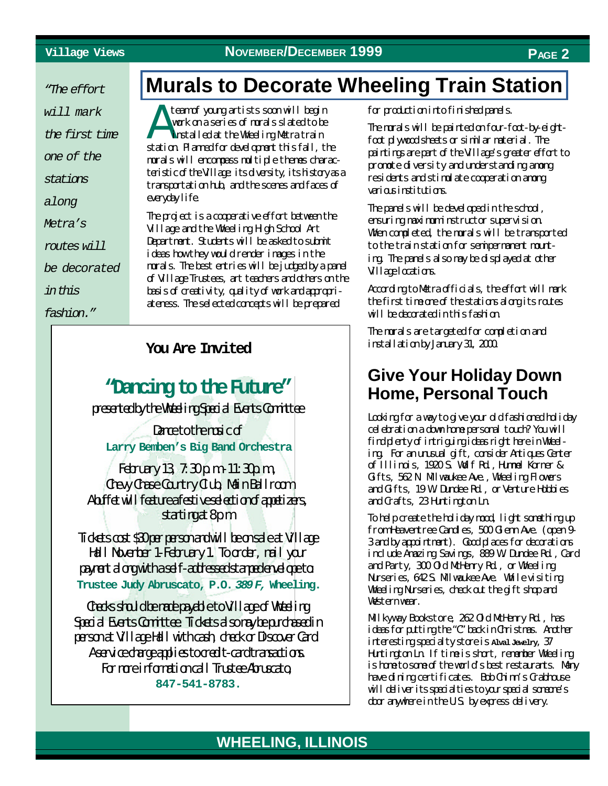*"The effort*

*will mark*

*the first time*

*one of the*

*stations*

*along*

*Metra's*

*routes will*

*be decorated*

*in this*

*fashion."*

## **[Murals to Decorate Wheeling Train Station](http://wheelingil.gov/Community/Transportation/Metra.htm)**

A team of young artists soon will begin work on a series of murals slated to be installed at the Wheeling Metra train station. Planned for development this fall, the murals will encompass multiple themes characteristic of the Village its diversity, its history as a transportation hub, and the scenes and faces of everyday life.

The project is a cooperative effort between the Village and the Wheeling High School Art Department. Students will be asked to submit ideas how they would render images in the murals. The best entries will be judged by a panel of Village Trustees, art teachers and others on the basis of creativity, quality of work and appropriateness. The selected concepts will be prepared

## **"Dancing to the Future"**

presented by the Wheeling Special Events Committee

Dance to the majc of **Larry Bemben's Big Band Orchestra**

February 13,  $7:30 \text{ p.m.}$  11:30 $\text{p.m.}$ Chevy Chase Country Club, Main Ballroom A buffet will feature a festive selection of a partizers, starting at 8pm

Tidets cost \$30 per person and will be on sale at Village Hall November 1-February 1. To order, mail your payment along with a self-addressed stamped envelope to: **Trustee Judy Abruscato, P.O.** *389F,* **Wheeling.**

Checks should be made payable to Village of Wheeling Special Events Committee. Tickets also may be purchased in personat Village Hall with cash, deck or Discover Card. A service drage applies to credit card transactions For more information call Trustee Abruscato **847-541-8783.**

for production into finished panels.

The murals will be painted on four-foot-by-eightfoot plywood sheets or similar material. The paintings are part of the Village's greater effort to promote diversity and understanding among residents and stimulate cooperation among various institutions.

The panels will be developed in the school, ensuring maximum instructor supervision. When completed, the murals will be transported to the train station for semipermanent mounting. The panels also may be displayed at other Village locations.

According to Metra officials, the effort will mark the first time one of the stations along its routes will be decorated in this fashion.

The murals are targeted for completion and **You Are Invited** installation by January 31, 2000.

### **Give Your Holiday Down Home, Personal Touch**

Looking for a way to give your old fashioned holiday celebration a down home personal touch? You will find plenty of intriguing ideas right here in Wheeling. For an unusual gift, consider Antiques Center of Illinois, 1920 S. Wolf Rd., Hummel Korner & Gifts, 562 N. Milwaukee Ave., Wheeling Flowers and Gifts, 19 W. Dundee Rd., or Venture Hobbies and Crafts, 23 Huntington Ln.

To help create the holiday mood, light something up from Heaventree Candles, 500 Glenn Ave. (open 9- 3 and by appointment). Good places for decorations include Amazing Savings, 889 W. Dundee Rd., Card and Party, 300 Old MoHenry Rd., or Wheeling Nurseries, 642S. Mlwaukee Ave. While visiting Wheeling Nurseries, check out the gift shop and Western wear.

Milkyway Bookstore, 262 Old McHenry Rd., has ideas for putting the "C" back in Christmas. Another interesting specialty store is **Alval Jewelry**, 37 Huntington Ln. If time is short, remember Wheeling is home to some of the world's best restaurants. Many have dining certificates. Bob Chinn's Crabhouse will deliver its special ties to your special someone's door anywhere in the U.S. by express delivery.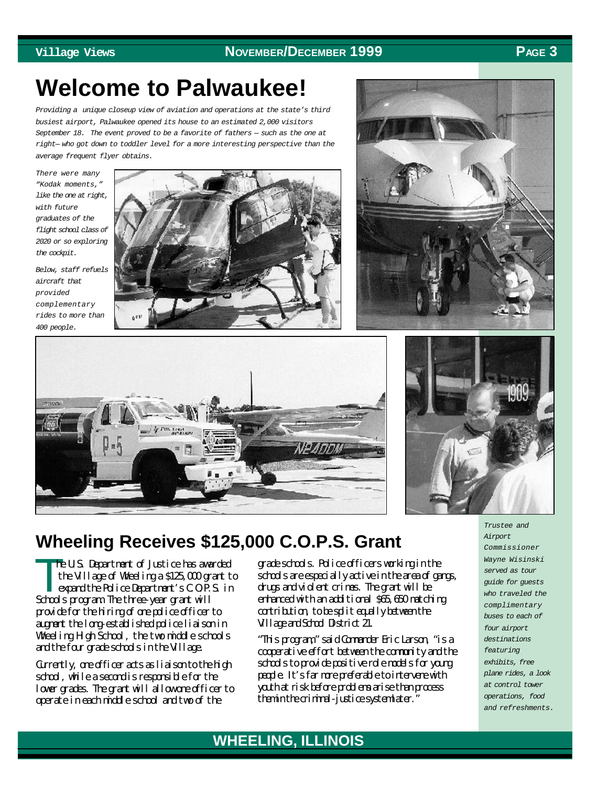#### **Village Views NOVEMBER/DECEMBER 1999 PAGE 3**

# **Welcome to Palwaukee!**

*Providing a unique closeup view of aviation and operations at the state's third busiest airport, Palwaukee opened its house to an estimated 2,000 visitors September 18. The event proved to be a favorite of fathers — such as the one at right— who got down to toddler level for a more interesting perspective than the average frequent flyer obtains.*

*There were many "Kodak moments," like the one at right, with future graduates of the flight school class of 2020 or so exploring the cockpit.*

*Below, staff refuels aircraft that provided complementary rides to more than 400 people.*







## **Wheeling Receives \$125,000 C.O.P.S. Grant**

 $\prod_{e}$ he U.S. Department of Justice has awarded the Village of Wheeling a \$125,000 grant to expand the Police Department's C.O.P.S. in Schools program. The three-year grant will provide for the hiring of one police officer to augment the long-established police liaison in Wheeling High School, the two middle schools and the four grade schools in the Village.

Gurently, one officer acts as liaison to the high school, while a second is responsible for the lower grades. The grant will allow one officer to operate in each middle school and two of the

grade schools. Police officers working in the schools are especially active in the area of gangs, drugs and violent crimes. The grant will be enhanced with an additional \$65,650 matching contribution, to be split equally between the Village and School District 21.

"This program," said Commander Eric Larson, "is a cooperative effort between the community and the schools to provide positive role models for young people. It's far more preferable to intervene with youth at risk before problems arise than process them in the criminal-justice system later."

*Trustee and Airport Commissioner Wayne Wisinski served as tour guide for guests who traveled the complimentary buses to each of four airport destinations featuring exhibits, free plane rides, a look at control tower operations, food and refreshments.*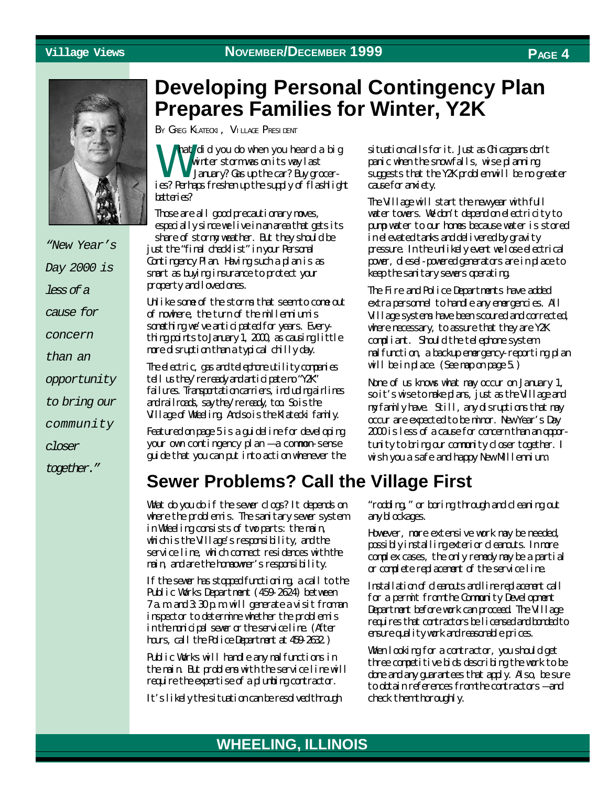

*"New Year's Day 2000 is less of a cause for concern than an opportunity to bring our community closer together."*

## **Developing Personal Contingency Plan Prepares Families for Winter, Y2K**

BY GREG KLATECKI, VILLAGE PRESIDENT

W hat did you do when you heard a big winter storm was on its way last January? Gas up the car? Buy groceries? Perhaps freshen up the supply of flashlight batteries?

Those are all good precautionary moves, especially since we live in an area that gets its share of stormy weather. But they should be just the "final checklist" in your Personal Contingency Plan. Having such a plan is as smart as buying insurance to protect your property and loved ones.

Unlike some of the storms that seem to come out of nowhere, the turn of the millennium is something we've anticipated for years. Everything points to January 1, 2000, as causing little more disruption than a typical chilly day.

The electric, gas and telephone utility companies tell us they're ready and anticipate no "Y2K" failures. Transportation carriers, including airlines and railroads, say they're ready, too. So is the Village of Wheeling. And so is the Klatecki family.

Featured on page 5 is a guideline for developing your own contingency plan — a common-sense guide that you can put into action whenever the situation calls for it. Just as Chicagoans don't panic when the snow falls, wise planning suggests that the Y2K problem will be no greater cause for anxiety.

The Village will start the new year with full water towers. We don't depend on electricity to pump water to our homes because water is stored in elevated tanks and delivered by gravity pressure. In the unlikely event we lose electrical power, diesel-powered generators are in place to keep the sanitary sewers operating.

The Fire and Police Departments have added extra personnel to handle any emergencies. All Village systems have been scoured and corrected, where necessary, to assure that they are Y2K compliant. Should the telephone system malfunction, a backup emergency-reporting plan will be in place. (See map on page 5.)

None of us knows what may occur on January 1, so it's wise to make plans, just as the Village and my family have. Still, any disruptions that may occur are expected to be minor. New Year's Day 2000 is less of a cause for concern than an opportunity to bring our community closer together. I wish you a safe and happy New Millennium.

## **Sewer Problems? Call the Village First**

What do you do if the sewer clogs? It depends on where the problem is. The sanitary sewer system in Wheeling consists of two parts: the main, which is the Village's responsibility, and the service line, which connect residences with the main, and are the homeowner's responsibility.

If the sewer has stopped functioning, a call to the Public Works Department (459-2624) between 7 a.m. and 3:30 p.m. will generate a visit from an inspector to determine whether the problem is in the municipal sewer or the service line. (After hours, call the Police Department at 459-2632.)

Public Works will handle any malfunctions in the main. But problems with the service line will require the expertise of a plumbing contractor.

It's likely the situation can be resolved through

"rodding," or boring through and cleaning out any blockages.

However, more extensive work may be needed, possibly installing exterior cleanouts. In more complex cases, the only remedy may be a partial or complete replacement of the service line.

Installation of dearouts and line replacement call for a permit from the Community Development Department before work can proceed. The Village requires that contractors be licensed and bonded to ensure quality work and reasonable prices.

When looking for a contractor, you should get three competitive bids describing the work to be done and any guarantees that apply. Also, be sure to obtain references from the contractors – and check them thoroughly.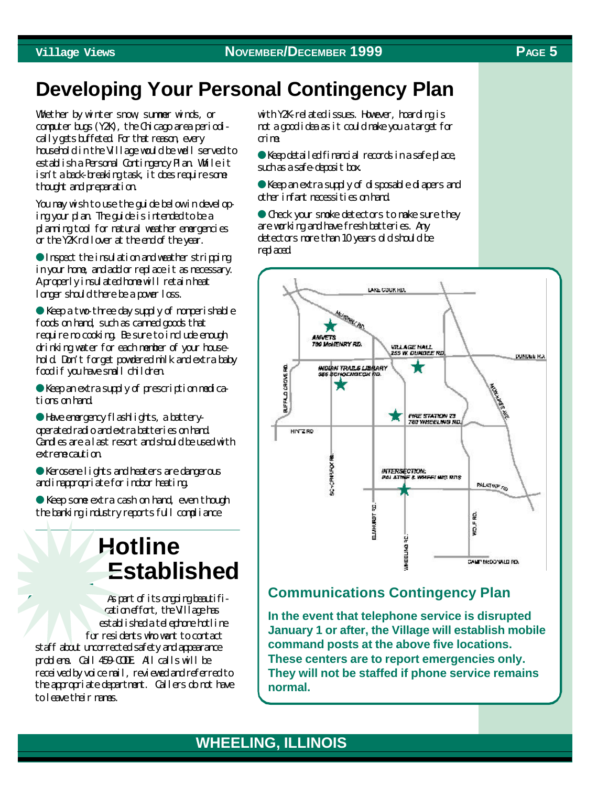## **Developing Your Personal Contingency Plan**

Whether by winter snow, summer winds, or computer bugs (Y2K), the Chicago area periodically gets buffeted. For that reason, every household in the Village would be well served to establish a Personal Contingency Plan. While it isn't a back-breaking task, it does require some thought and preparation.

You may wish to use the guide below in developing your plan. The guide is intended to be a planning tool for natural weather emergencies or the Y2K rollover at the end of the year.

● Inspect the insulation and weather stripping in your home, and add or replace it as necessary. A properly insulated home will retain heat longer should there be a power loss.

● Keep a two-three day supply of nonperishable foods on hand, such as canned goods that require no cooking. Be sure to include enough drinking water for each member of your household. Don't forget powdered milk and extra baby food if you have small children.

● Keep an extra supply of prescription medications on hand.

● Have emergency flashlights, a batteryoperated radio and extra batteries on hand. Candles are a last resort and should be used with extreme caution.

● Kerosene lights and heaters are dangerous and inappropriate for indoor heating.

● Keep some extra cash on hand, even though the banking industry reports full compliance

# **Hotline Established**

**459-COD<sup>E</sup>** As part of its ongoing beautification effort, the Village has established a telephone hotline for residents who want to contact staff about uncorrected safety and appearance problems. Call 459-CODE. All calls will be received by voice mail, reviewed and referred to the appropriate department. Callers do not have to leave their names.

with Y2K-related issues. However, hoarding is not a good idea as it could make you a target for crime.

● Keep detailed financial records in a safe place, such as a safe-deposit box.

● Keep an extra supply of disposable diapers and other infant necessities on hand.

● Check your smoke detectors to make sure they are working and have fresh batteries. Any detectors more than 10 years old should be replaced.



#### **Communications Contingency Plan**

**In the event that telephone service is disrupted January 1 or after, the Village will establish mobile command posts at the above five locations. These centers are to report emergencies only. They will not be staffed if phone service remains normal.**

#### **WHEELING, ILLINOIS WHEELING, ILLINOIS**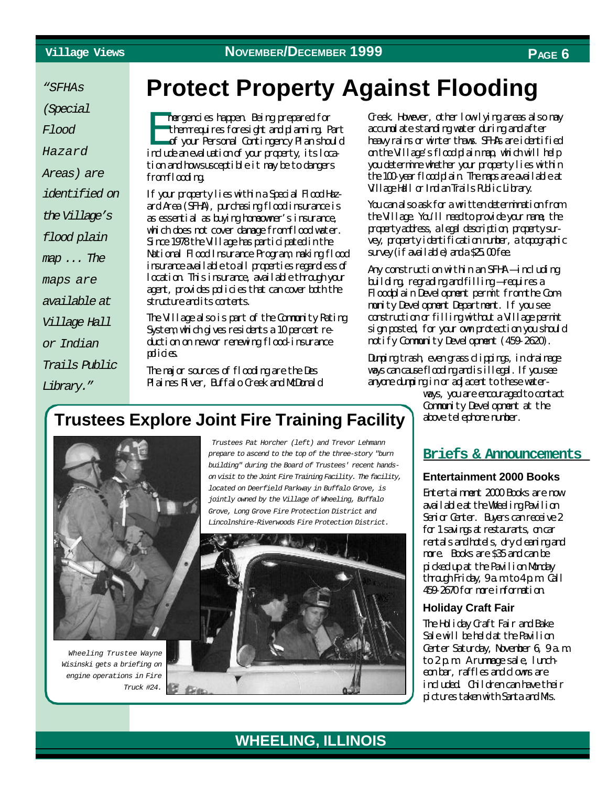*"SFHAs*

*(Special*

*Flood*

*Hazard*

*Areas) are*

*identified on*

*the Village's*

*flood plain*

*map ... The*

*maps are*

*available at*

*Village Hall*

*or Indian*

*Trails Public*

*Library."*

# **Protect Property Against Flooding**

Et mergencies happen. Being prepared for them requires foresight and planning. Part of your Personal Contingency Plan should indurkan evaluation of your property, its location and how susceptible it may be to dangers from flooding.

If your property lies within a Special Flood Hazard Area (SFHA), purchasing flood insurance is as essential as buying homeowner's insurance, which does not cover damage from flood water. Since 1978 the Village has participated in the National Flood Insurance Program, making flood insurance available to all properties regardless of location. This insurance, available through your agent, provides policies that can cover both the structure and its contents.

The Village also is part of the Community Rating System, which gives residents a 10 percent reduction on new or renewing flood-insurance policies

The major sources of flooding are the Des Plaines River, Buffalo Creek and McDonald Creek. However, other low-lying areas also may accumulate standing water during and after heavy rains or winter thaws. SFHAs are identified on the Village's flood plain map, which will help you determine whether your property lies within the 100-year flood plain. The maps are available at Village Hall or Indian Trails Public Library.

You can also ask for a written determination from the Village. You'll need to provide your name, the property address, a legal description, property survey, property identification number, a topographic  $s$ urvey (if available) and  $a$   $25.00$  fee.

Any construction within an SFHA — including building, regrading and filling — requires a Floodplain Development permit from the Community Development Department. If you see construction or filling without a Village permit sign posted, for your own protection you should notify Community Development (459-2620).

Dumping trash, even grass clippings, in drainage ways can cause flooding and is illegal. If you see anyone dumping in or adjacent to these water-

> ways, you are encouraged to contact Community Development at the above telephone number.

#### **Briefs & Announcements**

**Entertainment 2000 Books** Entertainment 2000 Books are now available at the Wheeling Pavilion Senior Center. Buyers can receive 2 for 1 savings at restaurants, on car rentals and hotels, dry deaning and more. Books are \$35 and can be picked up at the Pavilion Monday through Friday, 9 a.m. to 4 p.m. Call 459-2670 for more information.

#### **Holiday Craft Fair**

The Holiday Craft Fair and Bake Sale will be held at the Pavilion Center Saturday, November 6, 9 a.m.  $to 2p$ m A rummage sale, luncheon bar, raffles and downs are included. Children can have their pictures taken with Santa and Mrs.

## **Trustees Explore Joint Fire Training Facility**



*Wheeling Trustee Wayne Wisinski gets a briefing on engine operations in Fire Truck #24.*

 *Trustees Pat Horcher (left) and Trevor Lehmann prepare to ascend to the top of the three-story "burn building" during the Board of Trustees' recent handson visit to the Joint Fire Training Facility. The facility, located on Deerfield Parkway in Buffalo Grove, is jointly owned by the Village of Wheeling, Buffalo Grove, Long Grove Fire Protection District and Lincolnshire-Riverwoods Fire Protection District.*

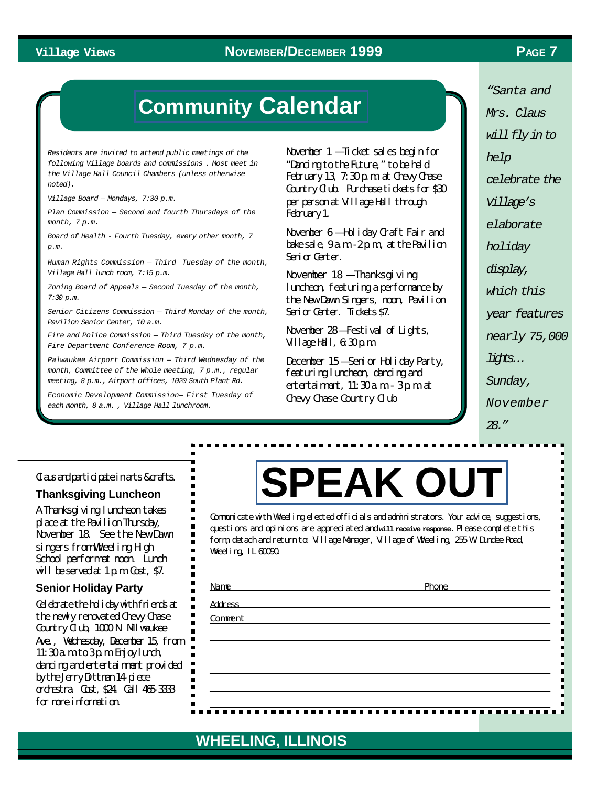#### **Village Views PAGE 7 NOVEMBER/DECEMBER 1999**

## **Community [Calendar](http://wheelingil.gov/Community/Calendar.htm)**

*Residents are invited to attend public meetings of the following Village boards and commissions . Most meet in the Village Hall Council Chambers (unless otherwise noted).*

*Village Board — Mondays, 7:30 p.m.*

*Plan Commission — Second and fourth Thursdays of the month, 7 p.m.*

*Board of Health - Fourth Tuesday, every other month, 7 p.m.*

*Human Rights Commission — Third Tuesday of the month, Village Hall lunch room, 7:15 p.m.*

*Zoning Board of Appeals — Second Tuesday of the month, 7:30 p.m.*

*Senior Citizens Commission — Third Monday of the month, Pavilion Senior Center, 10 a.m.*

*Fire and Police Commission — Third Tuesday of the month, Fire Department Conference Room, 7 p.m.*

*Palwaukee Airport Commission — Third Wednesday of the month, Committee of the Whole meeting, 7 p.m., regular meeting, 8 p.m., Airport offices, 1020 South Plant Rd.*

*Economic Development Commission— First Tuesday of each month, 8 a.m. , Village Hall lunchroom.*

November 1 — Ticket sales begin for "Dancing to the Future," to be held February 13, 7:30 p.m. at Chevy Chase Country Club. Purchase tickets for \$30 per person at Village Hall through February 1.

November 6 — Holiday Craft Fair and bake sale, 9 a.m. -2 p.m., at the Pavilion Senior Center.

November 18 – Thanksgi ving luncheon, featuring a performance by the New Dawn Singers, noon, Pavilion Senior Center. Tickets \$7.

November 28 — Festival of Lights, Village Hall, 6:30 p.m.

December 15 — Senior Holiday Party, featuring luncheon, dancing and entertainment, 11:30 a.m. - 3 p.m. at Chevy Chase Country Club

*"Santa and Mrs. Claus will fly in to help celebrate the Village's elaborate holiday display, which this year features nearly 75,000 lights... Sunday, November 28."*

#### Clausand participate in arts & crafts.

**Thanksgiving Luncheon**

A Thanksgiving luncheon takes place at the Pavilion Thursday, November 18. See the New Dawn singers from Wheeling High School performat noon. Lunch will be served at  $1 \text{ p.m.}$  Cost, \$7.

#### **Senior Holiday Party**

Celebrate the holiday with friends at the newly renovated Chevy Chase Country Club, 1000 N. Mlwaukee Ave., Wednesday, December 15, from 11:30 a.m. to  $3p$  m. Friggelunch, dancing and entertainment provided by the Jerry Dittman 14-piece orchestra. Cost, \$24. Call 465-3333 for more information.

# **[SPEAK OUT](http://wheelingil.gov/ReferenceDesk/FeedbackForm.htm)**

Communicate with Wheeling elected officials and administrators. Your advice, suggestions, questions and opinions are appreciated and **will receive response.** Please complete this form, detach and return to: Village Manager, Village of Wheeling, 255 W. Dundee Road, Wheeling, IL 60090.

| Name           | Phone |
|----------------|-------|
| <b>Address</b> |       |
| Comment        |       |
|                |       |
|                |       |
|                |       |
|                |       |
|                |       |

#### **WHEELING, ILLINOIS WHEELING, ILLINOIS**